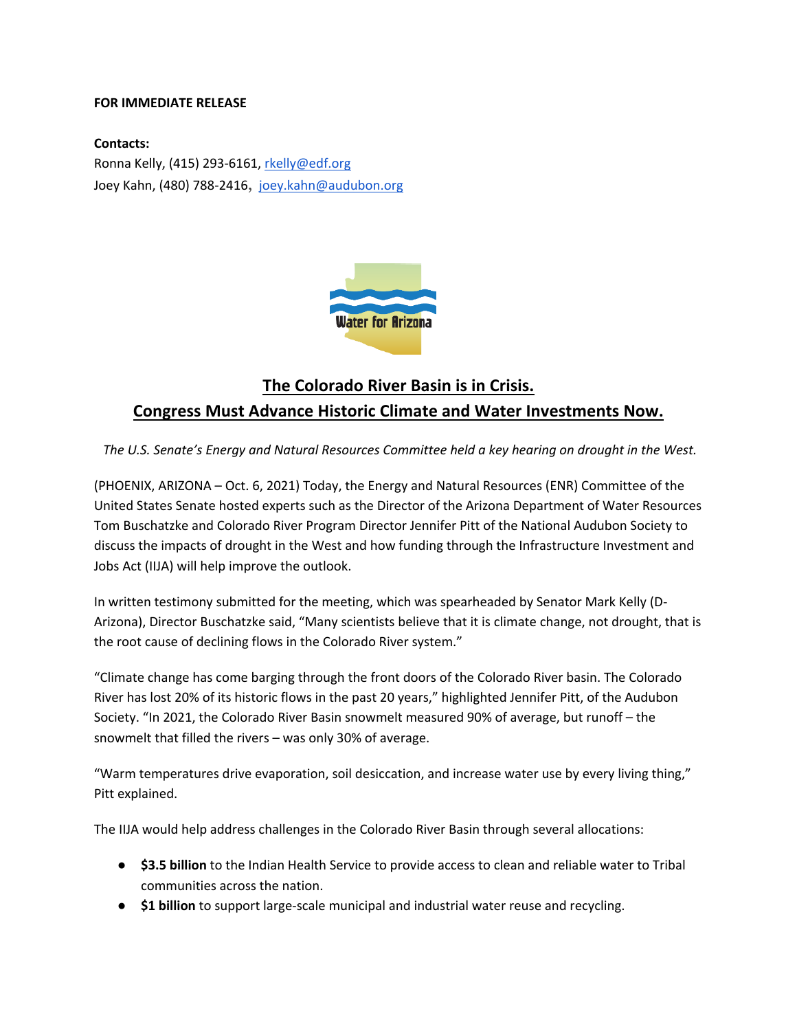## **FOR IMMEDIATE RELEASE**

**Contacts:**  Ronna Kelly, (415) 293-6161, rkelly@edf.org Joey Kahn, (480) 788-2416, joey.kahn@audubon.org



## **The Colorado River Basin is in Crisis. Congress Must Advance Historic Climate and Water Investments Now.**

*The U.S. Senate's Energy and Natural Resources Committee held a key hearing on drought in the West.*

(PHOENIX, ARIZONA – Oct. 6, 2021) Today, the Energy and Natural Resources (ENR) Committee of the United States Senate hosted experts such as the Director of the Arizona Department of Water Resources Tom Buschatzke and Colorado River Program Director Jennifer Pitt of the National Audubon Society to discuss the impacts of drought in the West and how funding through the Infrastructure Investment and Jobs Act (IIJA) will help improve the outlook.

In written testimony submitted for the meeting, which was spearheaded by Senator Mark Kelly (D-Arizona), Director Buschatzke said, "Many scientists believe that it is climate change, not drought, that is the root cause of declining flows in the Colorado River system."

"Climate change has come barging through the front doors of the Colorado River basin. The Colorado River has lost 20% of its historic flows in the past 20 years," highlighted Jennifer Pitt, of the Audubon Society. "In 2021, the Colorado River Basin snowmelt measured 90% of average, but runoff – the snowmelt that filled the rivers – was only 30% of average.

"Warm temperatures drive evaporation, soil desiccation, and increase water use by every living thing," Pitt explained.

The IIJA would help address challenges in the Colorado River Basin through several allocations:

- **\$3.5 billion** to the Indian Health Service to provide access to clean and reliable water to Tribal communities across the nation.
- **\$1 billion** to support large-scale municipal and industrial water reuse and recycling.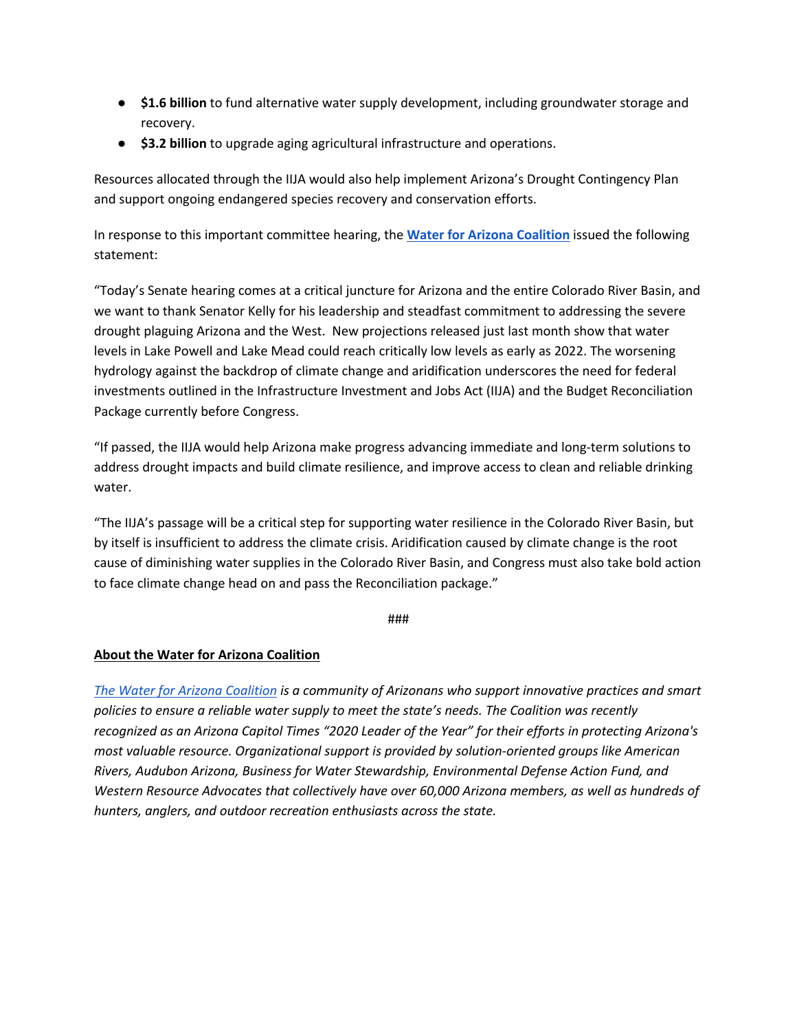- **\$1.6 billion** to fund alternative water supply development, including groundwater storage and recovery.
- **\$3.2 billion** to upgrade aging agricultural infrastructure and operations.

Resources allocated through the IIJA would also help implement Arizona's Drought Contingency Plan and support ongoing endangered species recovery and conservation efforts.

In response to this important committee hearing, the **Water for Arizona Coalition** issued the following statement:

"Today's Senate hearing comes at a critical juncture for Arizona and the entire Colorado River Basin, and we want to thank Senator Kelly for his leadership and steadfast commitment to addressing the severe drought plaguing Arizona and the West. New projections released just last month show that water levels in Lake Powell and Lake Mead could reach critically low levels as early as 2022. The worsening hydrology against the backdrop of climate change and aridification underscores the need for federal investments outlined in the Infrastructure Investment and Jobs Act (IIJA) and the Budget Reconciliation Package currently before Congress.

"If passed, the IIJA would help Arizona make progress advancing immediate and long-term solutions to address drought impacts and build climate resilience, and improve access to clean and reliable drinking water.

"The IIJA's passage will be a critical step for supporting water resilience in the Colorado River Basin, but by itself is insufficient to address the climate crisis. Aridification caused by climate change is the root cause of diminishing water supplies in the Colorado River Basin, and Congress must also take bold action to face climate change head on and pass the Reconciliation package."

###

## **About the Water for Arizona Coalition**

*The Water for Arizona Coalition is a community of Arizonans who support innovative practices and smart policies to ensure a reliable water supply to meet the state's needs. The Coalition was recently recognized as an Arizona Capitol Times "2020 Leader of the Year" for their efforts in protecting Arizona's most valuable resource. Organizational support is provided by solution-oriented groups like American Rivers, Audubon Arizona, Business for Water Stewardship, Environmental Defense Action Fund, and Western Resource Advocates that collectively have over 60,000 Arizona members, as well as hundreds of hunters, anglers, and outdoor recreation enthusiasts across the state.*